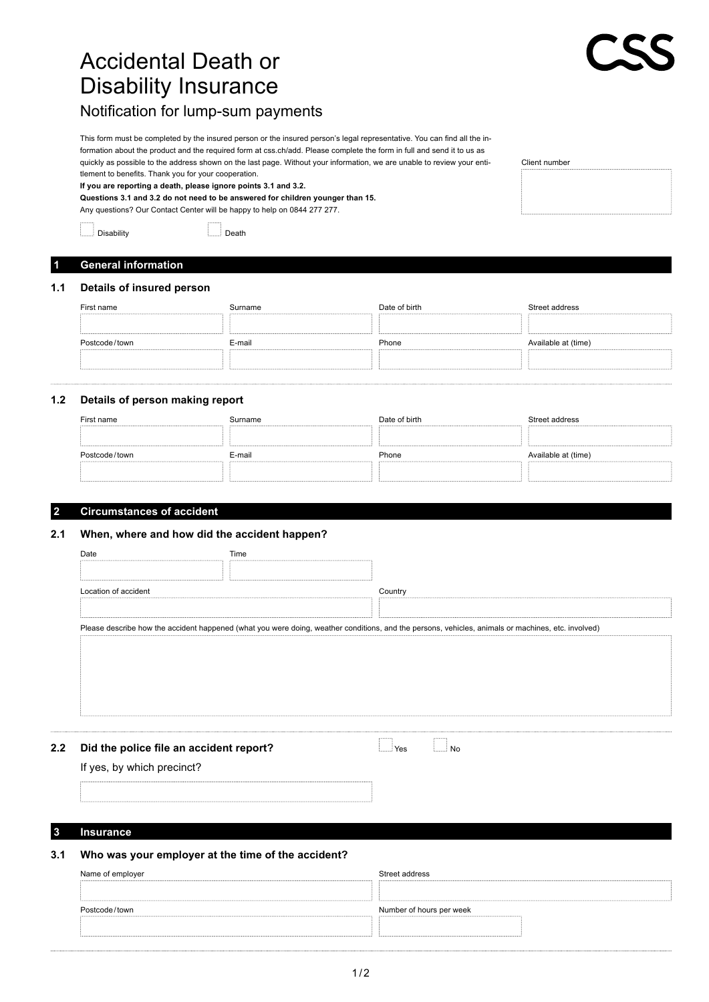# Accidental Death or Disability Insurance

This form must be completed by the insured person or the insured person's legal representative. You can find all the information about the product and the required form at css.ch/add. Please complete the form in full and send it to us as quickly as possible to the address shown on the last page. Without your information, we are unable to review your entitlement to benefits. Thank you for your cooperation.

**If you are reporting a death, please ignore points 3.1 and 3.2.**

Notification for lump-sum payments

**Questions 3.1 and 3.2 do not need to be answered for children younger than 15.** Any questions? Our Contact Center will be happy to help on 0844 277 277.

Disability Death

### **1 General information**

#### **1.1 Details of insured person**

| First name    | Surname | Date of birth | Street address      |
|---------------|---------|---------------|---------------------|
|               |         |               |                     |
| Postcode/town | E-mail  | Phone         | Available at (time) |
|               |         |               |                     |

### **1.2 Details of person making report**

| First name    | Surname | Date of birth | Street address      |
|---------------|---------|---------------|---------------------|
|               |         |               |                     |
| Postcode/town | E-mail  | Phone         | Available at (time) |
|               |         |               |                     |

#### **2 Circumstances of accident**

### **2.1 When, where and how did the accident happen?**

| Date                 | Time                                    |                                                                                                                                                    |  |
|----------------------|-----------------------------------------|----------------------------------------------------------------------------------------------------------------------------------------------------|--|
|                      |                                         |                                                                                                                                                    |  |
| Location of accident |                                         | Country                                                                                                                                            |  |
|                      |                                         |                                                                                                                                                    |  |
|                      |                                         | Please describe how the accident happened (what you were doing, weather conditions, and the persons, vehicles, animals or machines, etc. involved) |  |
|                      |                                         |                                                                                                                                                    |  |
|                      |                                         |                                                                                                                                                    |  |
|                      |                                         |                                                                                                                                                    |  |
|                      |                                         |                                                                                                                                                    |  |
|                      |                                         |                                                                                                                                                    |  |
|                      |                                         |                                                                                                                                                    |  |
|                      |                                         |                                                                                                                                                    |  |
|                      | Did the police file an accident report? | N <sub>o</sub><br>Yes                                                                                                                              |  |

#### **3 Insurance**

### **3.1 Who was your employer at the time of the accident?**

| Name of employer | Street address           |
|------------------|--------------------------|
|                  |                          |
| Postcode/town    | Number of hours per week |
|                  |                          |
|                  |                          |

Client number